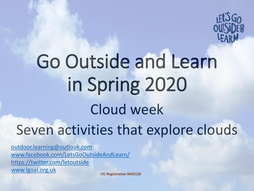

## Go Outside and Learn in Spring 2020 Cloud week Seven activities that explore clouds

[outdoor.learning@outlook.com](mailto:outdoor.learning@outlook.com) [www.facebook.com/LetsGoOutsideAndLearn/](http://www.facebook.com/LetsGoOutsideAndLearn/) <https://twitter.com/letoutside> [www.lgoal.org.uk](http://www.lgoal.org.uk/)

**CIC Registration 9435120**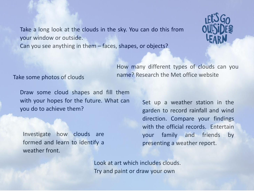Take a long look at the clouds in the sky. You can do this from your window or outside. Can you see anything in them – faces, shapes, or objects?



## name? Research the Met office website Take some photos of clouds

Draw some cloud shapes and fill them with your hopes for the future. What can you do to achieve them?

Investigate how clouds are formed and learn to identify a weather front.

Set up a weather station in the garden to record rainfall and wind direction. Compare your findings with the official records. Entertain your family and friends by presenting a weather report.

Look at art which includes clouds. Try and paint or draw your own